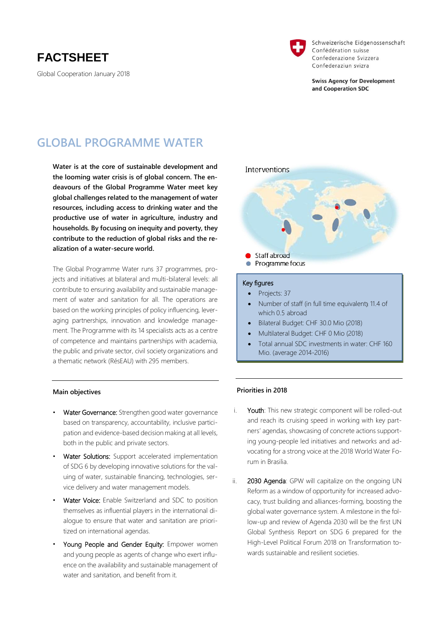## **FACTSHEET**

Global Cooperation January 2018



Schweizerische Eidgenossenschaft Confédération suisse Confederazione Svizzera Confederaziun svizra

**Swiss Agency for Development** and Cooperation SDC

## **GLOBAL PROGRAMME WATER**

**Water is at the core of sustainable development and the looming water crisis is of global concern. The endeavours of the Global Programme Water meet key global challenges related to the management of water resources, including access to drinking water and the productive use of water in agriculture, industry and households. By focusing on inequity and poverty, they contribute to the reduction of global risks and the realization of a water-secure world.**

The Global Programme Water runs 37 programmes, projects and initiatives at bilateral and multi-bilateral levels: all contribute to ensuring availability and sustainable management of water and sanitation for all. The operations are based on the working principles of policy influencing, leveraging partnerships, innovation and knowledge management. The Programme with its 14 specialists acts as a centre of competence and maintains partnerships with academia, the public and private sector, civil society organizations and a thematic network (RésEAU) with 295 members.

# Interventions Staff abroad Programme focus Key figures • Projects: 37

- Number of staff (in full time equivalent): 11.4 of which 0.5 abroad
- Bilateral Budget: CHF 30.0 Mio (2018)
- Multilateral Budget: CHF 0 Mio (2018)
- Total annual SDC investments in water: CHF 160 Mio. (average 2014-2016)

#### **Main objectives**

- Water Governance: Strengthen good water governance based on transparency, accountability, inclusive participation and evidence-based decision making at all levels, both in the public and private sectors.
- Water Solutions: Support accelerated implementation of SDG 6 by developing innovative solutions for the valuing of water, sustainable financing, technologies, service delivery and water management models.
- Water Voice: Enable Switzerland and SDC to position themselves as influential players in the international dialogue to ensure that water and sanitation are prioritized on international agendas.
- Young People and Gender Equity: Empower women and young people as agents of change who exert influence on the availability and sustainable management of water and sanitation, and benefit from it.

### **Priorities in 2018**

- i. Youth: This new strategic component will be rolled-out and reach its cruising speed in working with key partners' agendas, showcasing of concrete actions supporting young-people led initiatives and networks and advocating for a strong voice at the 2018 World Water Forum in Brasilia.
- ii. 2030 Agenda: GPW will capitalize on the ongoing UN Reform as a window of opportunity for increased advocacy, trust building and alliances-forming, boosting the global water governance system. A milestone in the follow-up and review of Agenda 2030 will be the first UN Global Synthesis Report on SDG 6 prepared for the High-Level Political Forum 2018 on Transformation towards sustainable and resilient societies.